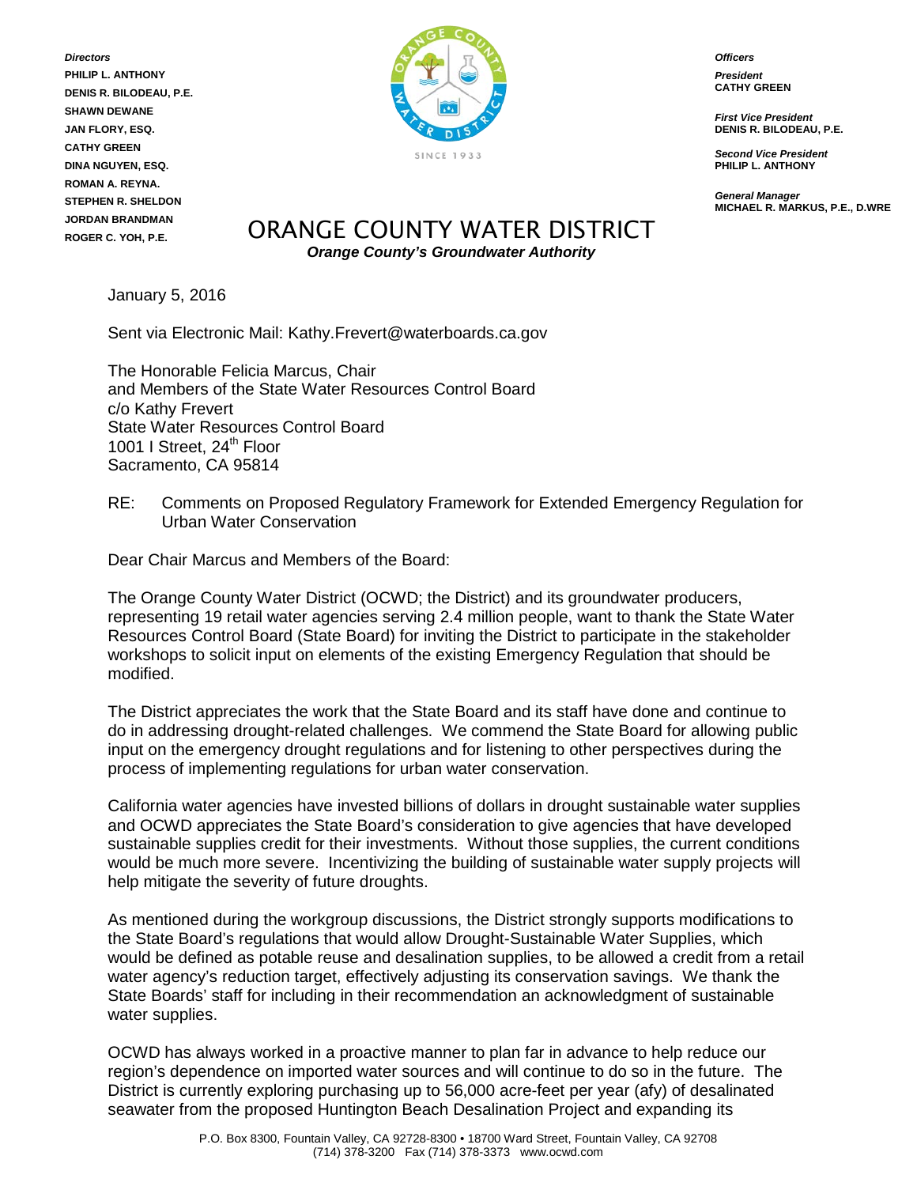*Directors* **PHILIP L. ANTHONY DENIS R. BILODEAU, P.E. SHAWN DEWANE JAN FLORY, ESQ. CATHY GREEN DINA NGUYEN, ESQ. ROMAN A. REYNA. STEPHEN R. SHELDON JORDAN BRANDMAN ROGER C. YOH, P.E.**



*Officers*

*President* **CATHY GREEN**

*First Vice President* **DENIS R. BILODEAU, P.E.**

*Second Vice President* **PHILIP L. ANTHONY**

*General Manager* **MICHAEL R. MARKUS, P.E., D.WRE**

## ORANGE COUNTY WATER DISTRICT *Orange County's Groundwater Authority*

January 5, 2016

Sent via Electronic Mail: Kathy.Frevert@waterboards.ca.gov

The Honorable Felicia Marcus, Chair and Members of the State Water Resources Control Board c/o Kathy Frevert State Water Resources Control Board 1001 I Street, 24<sup>th</sup> Floor Sacramento, CA 95814

RE: Comments on Proposed Regulatory Framework for Extended Emergency Regulation for Urban Water Conservation

Dear Chair Marcus and Members of the Board:

The Orange County Water District (OCWD; the District) and its groundwater producers, representing 19 retail water agencies serving 2.4 million people, want to thank the State Water Resources Control Board (State Board) for inviting the District to participate in the stakeholder workshops to solicit input on elements of the existing Emergency Regulation that should be modified.

The District appreciates the work that the State Board and its staff have done and continue to do in addressing drought-related challenges. We commend the State Board for allowing public input on the emergency drought regulations and for listening to other perspectives during the process of implementing regulations for urban water conservation.

California water agencies have invested billions of dollars in drought sustainable water supplies and OCWD appreciates the State Board's consideration to give agencies that have developed sustainable supplies credit for their investments. Without those supplies, the current conditions would be much more severe. Incentivizing the building of sustainable water supply projects will help mitigate the severity of future droughts.

As mentioned during the workgroup discussions, the District strongly supports modifications to the State Board's regulations that would allow Drought-Sustainable Water Supplies, which would be defined as potable reuse and desalination supplies, to be allowed a credit from a retail water agency's reduction target, effectively adjusting its conservation savings. We thank the State Boards' staff for including in their recommendation an acknowledgment of sustainable water supplies.

OCWD has always worked in a proactive manner to plan far in advance to help reduce our region's dependence on imported water sources and will continue to do so in the future. The District is currently exploring purchasing up to 56,000 acre-feet per year (afy) of desalinated seawater from the proposed Huntington Beach Desalination Project and expanding its